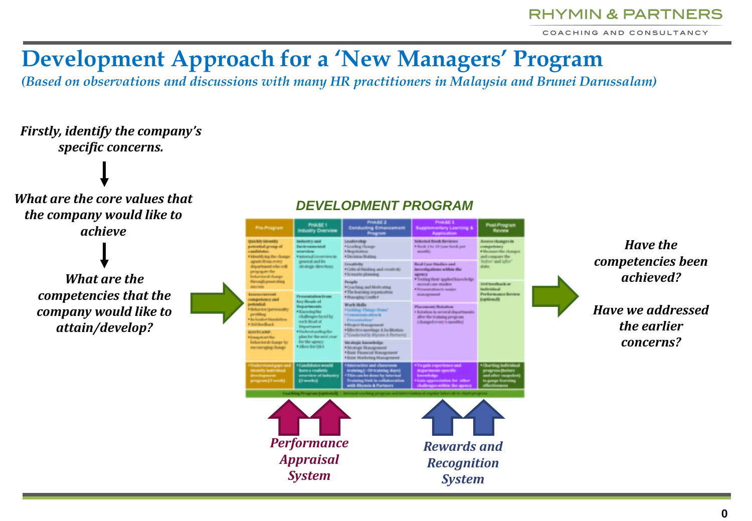COACHING AND CONSULTANCY

# **Development Approach for a 'New Managers' Program**

*(Based on observations and discussions with many HR practitioners in Malaysia and Brunei Darussalam)*

### *Firstly, identify the company's specific concerns.*

*What are the core values that the company would like to achieve*

> *What are the competencies that the company would like to attain/develop?*



#### *Have the competencies been achieved?*

*Have we addressed the earlier concerns?*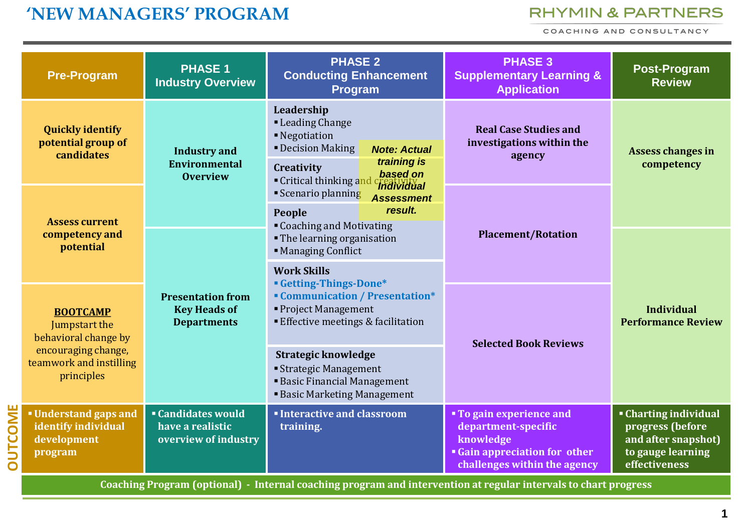## **'NEW MANAGERS' PROGRAM**

#### **RHYMIN & PARTNERS**

COACHING AND CONSULTANCY

|                | <b>Pre-Program</b>                                                                                                       | <b>PHASE 1</b><br><b>Industry Overview</b>                            | <b>PHASE 2</b><br><b>Conducting Enhancement</b><br>Program                                                                                  | <b>PHASE 3</b><br><b>Supplementary Learning &amp;</b><br><b>Application</b>                                                        | <b>Post-Program</b><br><b>Review</b>                                                                        |
|----------------|--------------------------------------------------------------------------------------------------------------------------|-----------------------------------------------------------------------|---------------------------------------------------------------------------------------------------------------------------------------------|------------------------------------------------------------------------------------------------------------------------------------|-------------------------------------------------------------------------------------------------------------|
|                | <b>Quickly identify</b><br>potential group of<br>candidates                                                              | <b>Industry and</b><br><b>Environmental</b>                           | Leadership<br>• Leading Change<br>■ Negotiation<br><b>- Decision Making</b><br><b>Note: Actual</b><br>training is<br>Creativity             | <b>Real Case Studies and</b><br>investigations within the<br>agency<br><b>Placement/Rotation</b>                                   | Assess changes in<br>competency                                                                             |
|                | <b>Assess current</b>                                                                                                    | <b>Overview</b>                                                       | based on<br>Critical thinking and<br>Individual<br>Scenario planning<br><b>Assessment</b><br>result.<br>People<br>" Coaching and Motivating |                                                                                                                                    |                                                                                                             |
|                | competency and<br>potential                                                                                              | <b>Presentation from</b><br><b>Key Heads of</b><br><b>Departments</b> | • The learning organisation<br>• Managing Conflict                                                                                          |                                                                                                                                    | <b>Individual</b><br><b>Performance Review</b>                                                              |
|                |                                                                                                                          |                                                                       | <b>Work Skills</b><br><b>Getting-Things-Done*</b>                                                                                           |                                                                                                                                    |                                                                                                             |
|                | <b>BOOTCAMP</b><br>Jumpstart the<br>behavioral change by<br>encouraging change,<br>teamwork and instilling<br>principles |                                                                       | <b>Communication / Presentation*</b><br>• Project Management<br><b>Effective meetings &amp; facilitation</b>                                | <b>Selected Book Reviews</b>                                                                                                       |                                                                                                             |
|                |                                                                                                                          |                                                                       | <b>Strategic knowledge</b><br><b>Strategic Management</b><br><b>Basic Financial Management</b><br><b>Basic Marketing Management</b>         |                                                                                                                                    |                                                                                                             |
| <b>OUTCOME</b> | <b>Understand gaps and</b><br>identify individual<br>development<br>program                                              | <b>Candidates would</b><br>have a realistic<br>overview of industry   | <b>Interactive and classroom</b><br>training.                                                                                               | " To gain experience and<br>department-specific<br>knowledge<br><b>Gain appreciation for other</b><br>challenges within the agency | <b>Charting individual</b><br>progress (before<br>and after snapshot)<br>to gauge learning<br>effectiveness |

**Coaching Program (optional) - Internal coaching program and intervention at regular intervals to chart progress**